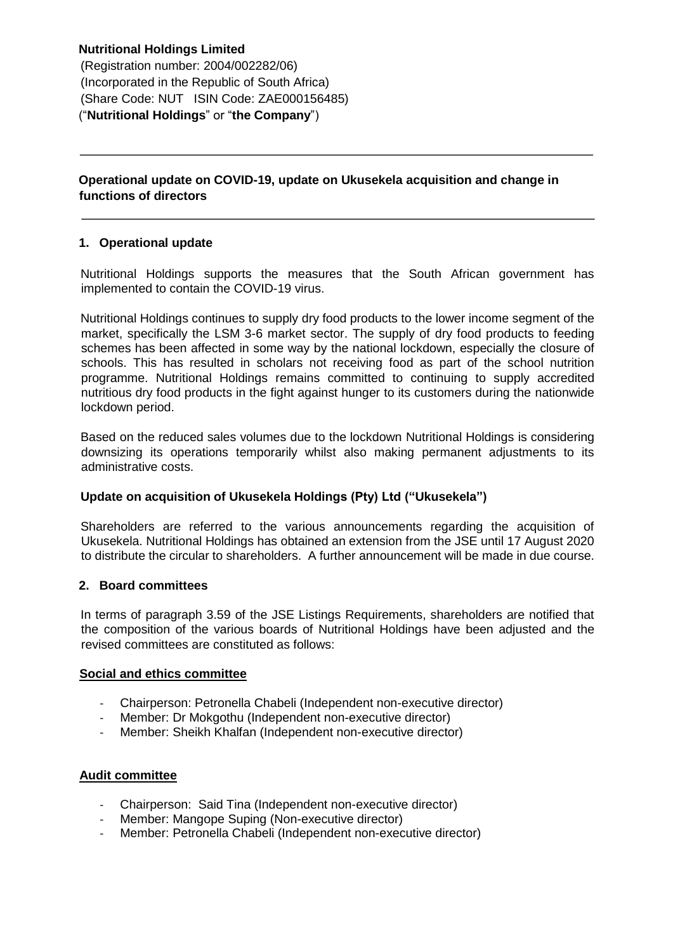**Nutritional Holdings Limited**  (Registration number: 2004/002282/06) (Incorporated in the Republic of South Africa) (Share Code: NUT ISIN Code: ZAE000156485) ("**Nutritional Holdings**" or "**the Company**")

**Operational update on COVID-19, update on Ukusekela acquisition and change in functions of directors**

## **1. Operational update**

Nutritional Holdings supports the measures that the South African government has implemented to contain the COVID-19 virus.

Nutritional Holdings continues to supply dry food products to the lower income segment of the market, specifically the LSM 3-6 market sector. The supply of dry food products to feeding schemes has been affected in some way by the national lockdown, especially the closure of schools. This has resulted in scholars not receiving food as part of the school nutrition programme. Nutritional Holdings remains committed to continuing to supply accredited nutritious dry food products in the fight against hunger to its customers during the nationwide lockdown period.

Based on the reduced sales volumes due to the lockdown Nutritional Holdings is considering downsizing its operations temporarily whilst also making permanent adjustments to its administrative costs.

## **Update on acquisition of Ukusekela Holdings (Pty) Ltd ("Ukusekela")**

Shareholders are referred to the various announcements regarding the acquisition of Ukusekela. Nutritional Holdings has obtained an extension from the JSE until 17 August 2020 to distribute the circular to shareholders. A further announcement will be made in due course.

#### **2. Board committees**

In terms of paragraph 3.59 of the JSE Listings Requirements, shareholders are notified that the composition of the various boards of Nutritional Holdings have been adjusted and the revised committees are constituted as follows:

### **Social and ethics committee**

- Chairperson: Petronella Chabeli (Independent non-executive director)
- Member: Dr Mokgothu (Independent non-executive director)
- Member: Sheikh Khalfan (Independent non-executive director)

### **Audit committee**

- Chairperson: Said Tina (Independent non-executive director)
- Member: Mangope Suping (Non-executive director)
- Member: Petronella Chabeli (Independent non-executive director)